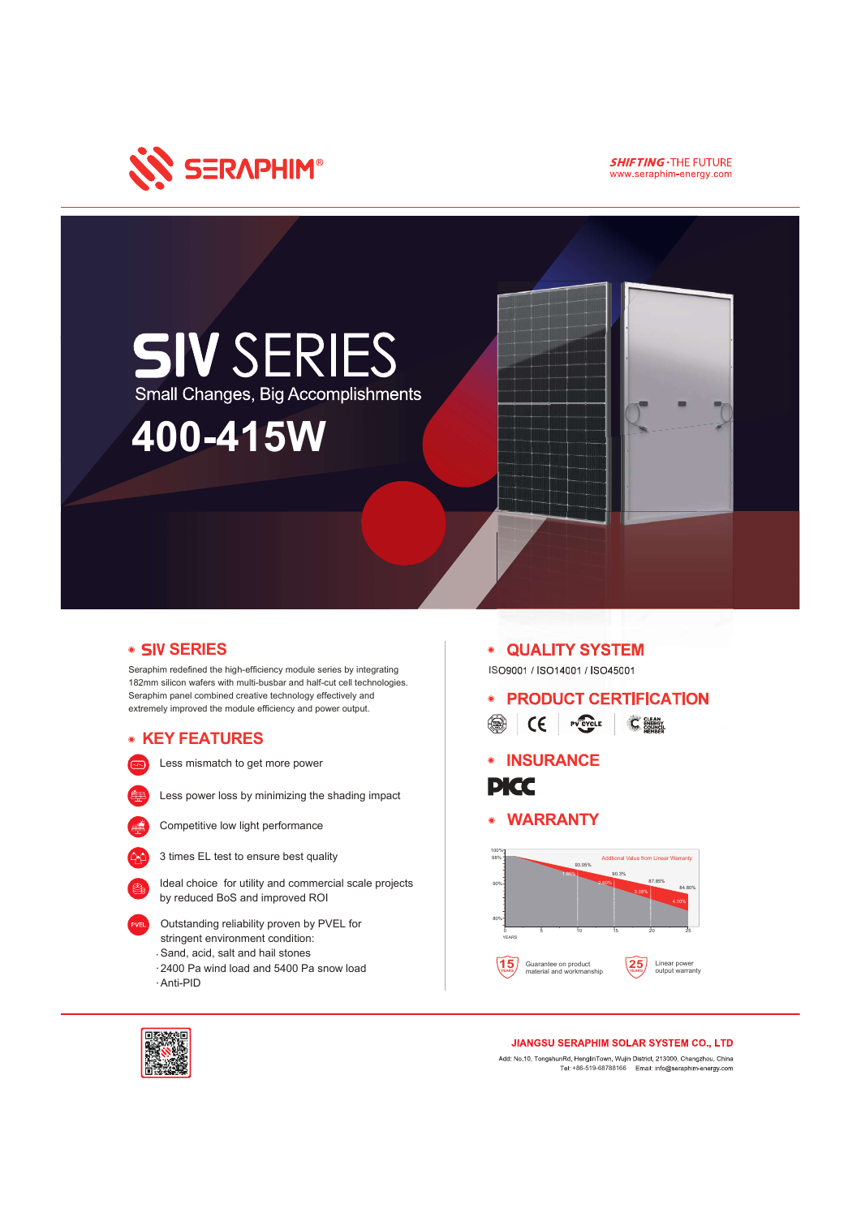

**SHIFTING . THE FUTURE** www.seraphim-energy.com



# • SIV SERIES

Seraphim redefined the high-efficiency module series by integrating 182mm silicon wafers with multi-busbar and half-cut cell technologies. Seraphim panel combined creative technology effectively and extremely improved the module efficiency and power output.

# KEY FEATURES

Less mismatch to get more power







Competitive low light performance



3 times EL test to ensure best quality

Ideal choice for utility and commercial scale projects by reduced BoS and improved ROI

- Outstanding reliability proven by PVEL for stringent environment condition:
- Sand, acid, salt and hail stones
- 2400 Pa wind load and 5400 Pa snow load

Anti-PID

#### QUALITY SYSTEM  $\bullet$

ISO9001 / ISO14001 / ISO45001

- PRODUCT CERTIFICATION SE CE PV CYCLE CHANGE
- **INSURANCE**



WARRANTY





### **JIANGSU SERAPHIM SOLAR SYSTEM CO., LTD**

Add: No.10, TongshunRd, HenglinTown, Wujin District, 213000, Changzhou, China Tel: +86-519-68788166 Email: info@seraphim-energy.com